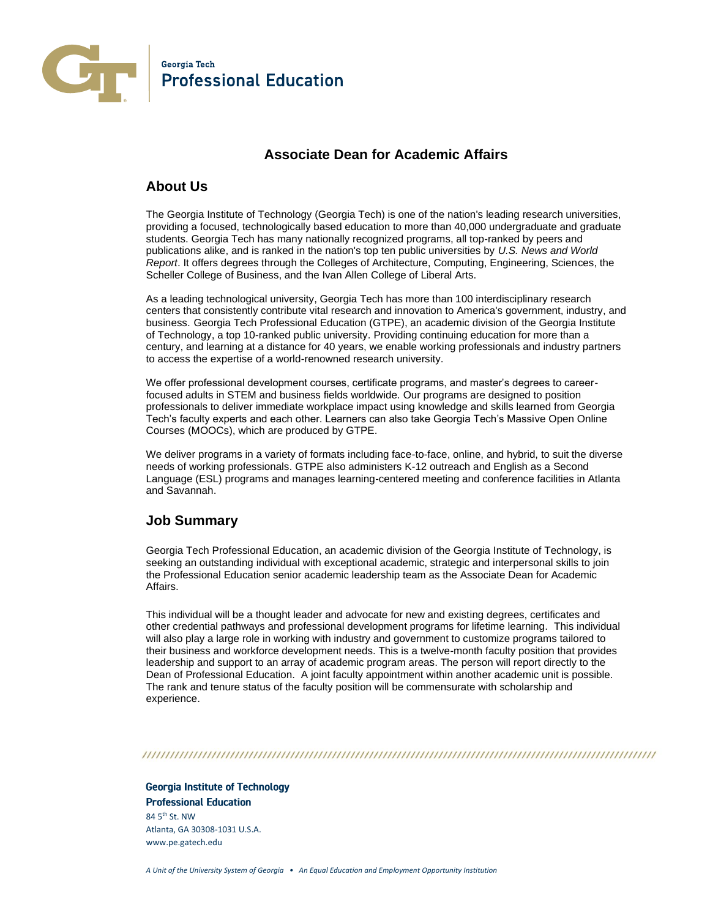

# **Associate Dean for Academic Affairs**

#### **About Us**

The Georgia Institute of Technology (Georgia Tech) is one of the nation's leading research universities, providing a focused, technologically based education to more than 40,000 undergraduate and graduate students. Georgia Tech has many nationally recognized programs, all top-ranked by peers and publications alike, and is ranked in the nation's top ten public universities by *U.S. News and World Report*. It offers degrees through the Colleges of Architecture, Computing, Engineering, Sciences, the Scheller College of Business, and the Ivan Allen College of Liberal Arts.

As a leading technological university, Georgia Tech has more than 100 interdisciplinary research centers that consistently contribute vital research and innovation to America's government, industry, and business. Georgia Tech Professional Education (GTPE), an academic division of the Georgia Institute of Technology, a top 10-ranked public university. Providing continuing education for more than a century, and learning at a distance for 40 years, we enable working professionals and industry partners to access the expertise of a world-renowned research university.

We offer professional development courses, certificate programs, and master's degrees to careerfocused adults in STEM and business fields worldwide. Our programs are designed to position professionals to deliver immediate workplace impact using knowledge and skills learned from Georgia Tech's faculty experts and each other. Learners can also take Georgia Tech's Massive Open Online Courses (MOOCs), which are produced by GTPE.

We deliver programs in a variety of formats including face-to-face, online, and hybrid, to suit the diverse needs of working professionals. GTPE also administers K-12 outreach and English as a Second Language (ESL) programs and manages learning-centered meeting and conference facilities in Atlanta and Savannah.

### **Job Summary**

Georgia Tech Professional Education, an academic division of the Georgia Institute of Technology, is seeking an outstanding individual with exceptional academic, strategic and interpersonal skills to join the Professional Education senior academic leadership team as the Associate Dean for Academic Affairs.

This individual will be a thought leader and advocate for new and existing degrees, certificates and other credential pathways and professional development programs for lifetime learning. This individual will also play a large role in working with industry and government to customize programs tailored to their business and workforce development needs. This is a twelve-month faculty position that provides leadership and support to an array of academic program areas. The person will report directly to the Dean of Professional Education. A joint faculty appointment within another academic unit is possible. The rank and tenure status of the faculty position will be commensurate with scholarship and experience.

#### 

**Georgia Institute of Technology Professional Education**  $84.5$ <sup>th</sup> St. NW Atlanta, GA 30308-1031 U.S.A. www.pe.gatech.edu

*A Unit of the University System of Georgia • An Equal Education and Employment Opportunity Institution*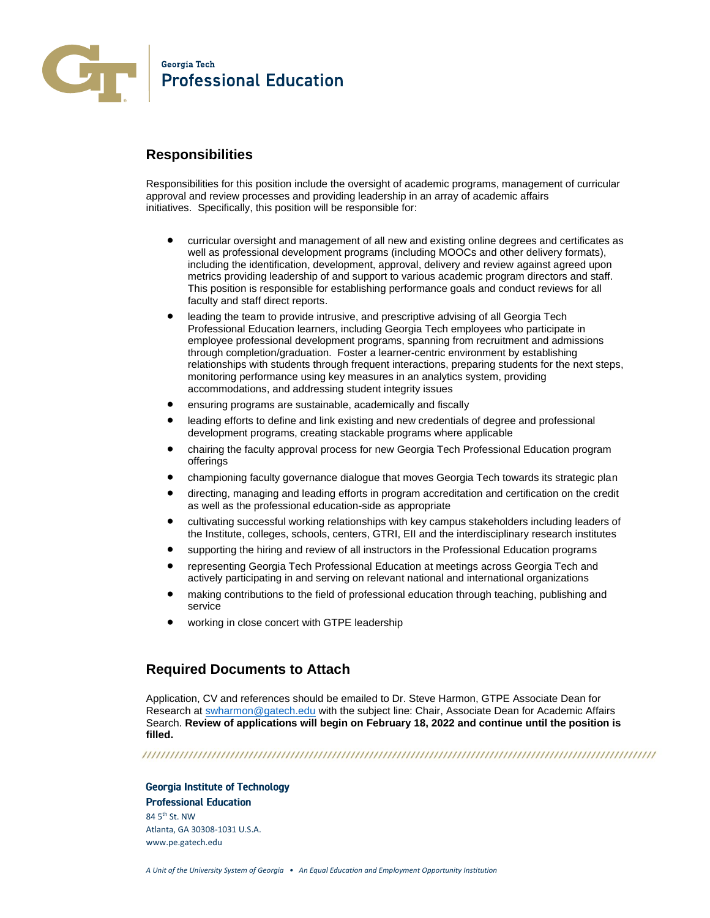

### **Responsibilities**

Responsibilities for this position include the oversight of academic programs, management of curricular approval and review processes and providing leadership in an array of academic affairs initiatives. Specifically, this position will be responsible for:

- curricular oversight and management of all new and existing online degrees and certificates as well as professional development programs (including MOOCs and other delivery formats), including the identification, development, approval, delivery and review against agreed upon metrics providing leadership of and support to various academic program directors and staff. This position is responsible for establishing performance goals and conduct reviews for all faculty and staff direct reports.
- leading the team to provide intrusive, and prescriptive advising of all Georgia Tech Professional Education learners, including Georgia Tech employees who participate in employee professional development programs, spanning from recruitment and admissions through completion/graduation. Foster a learner-centric environment by establishing relationships with students through frequent interactions, preparing students for the next steps, monitoring performance using key measures in an analytics system, providing accommodations, and addressing student integrity issues
- ensuring programs are sustainable, academically and fiscally
- leading efforts to define and link existing and new credentials of degree and professional development programs, creating stackable programs where applicable
- chairing the faculty approval process for new Georgia Tech Professional Education program offerings
- championing faculty governance dialogue that moves Georgia Tech towards its strategic plan
- directing, managing and leading efforts in program accreditation and certification on the credit as well as the professional education-side as appropriate
- cultivating successful working relationships with key campus stakeholders including leaders of the Institute, colleges, schools, centers, GTRI, EII and the interdisciplinary research institutes
- supporting the hiring and review of all instructors in the Professional Education programs
- representing Georgia Tech Professional Education at meetings across Georgia Tech and actively participating in and serving on relevant national and international organizations
- making contributions to the field of professional education through teaching, publishing and service
- working in close concert with GTPE leadership

### **Required Documents to Attach**

Application, CV and references should be emailed to Dr. Steve Harmon, GTPE Associate Dean for Research at [swharmon@gatech.edu](mailto:swharmon@gatech.edu) with the subject line: Chair, Associate Dean for Academic Affairs Search. **Review of applications will begin on February 18, 2022 and continue until the position is filled.**

**Georgia Institute of Technology Professional Education**  $84.5$ <sup>th</sup> St. NW Atlanta, GA 30308-1031 U.S.A. www.pe.gatech.edu